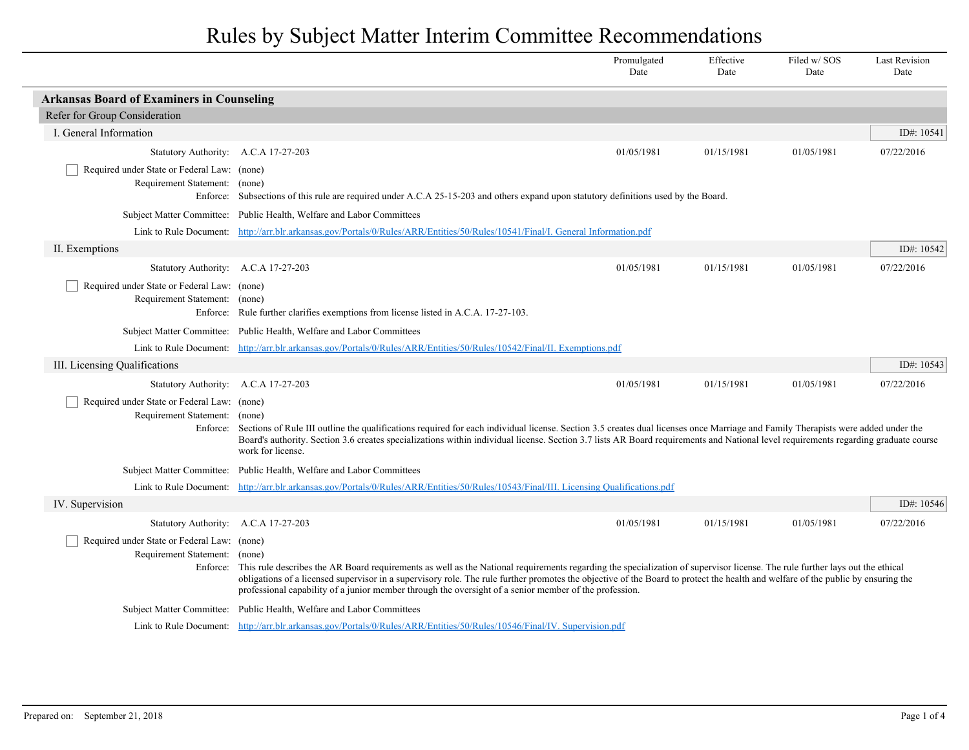|                                                                                          |                                                                                                                                                                                                                                                                                                                                                                                                                                                                                               | Promulgated<br>Date | Effective<br>Date | Filed w/SOS<br>Date | <b>Last Revision</b><br>Date |
|------------------------------------------------------------------------------------------|-----------------------------------------------------------------------------------------------------------------------------------------------------------------------------------------------------------------------------------------------------------------------------------------------------------------------------------------------------------------------------------------------------------------------------------------------------------------------------------------------|---------------------|-------------------|---------------------|------------------------------|
| <b>Arkansas Board of Examiners in Counseling</b>                                         |                                                                                                                                                                                                                                                                                                                                                                                                                                                                                               |                     |                   |                     |                              |
| Refer for Group Consideration                                                            |                                                                                                                                                                                                                                                                                                                                                                                                                                                                                               |                     |                   |                     |                              |
| I. General Information                                                                   |                                                                                                                                                                                                                                                                                                                                                                                                                                                                                               |                     |                   |                     | ID#: 10541                   |
| Statutory Authority: A.C.A 17-27-203                                                     |                                                                                                                                                                                                                                                                                                                                                                                                                                                                                               | 01/05/1981          | 01/15/1981        | 01/05/1981          | 07/22/2016                   |
| Required under State or Federal Law: (none)<br>Requirement Statement: (none)<br>Enforce: | Subsections of this rule are required under A.C.A 25-15-203 and others expand upon statutory definitions used by the Board.                                                                                                                                                                                                                                                                                                                                                                   |                     |                   |                     |                              |
| <b>Subject Matter Committee:</b>                                                         | Public Health, Welfare and Labor Committees                                                                                                                                                                                                                                                                                                                                                                                                                                                   |                     |                   |                     |                              |
| Link to Rule Document:                                                                   | http://arr.blr.arkansas.gov/Portals/0/Rules/ARR/Entities/50/Rules/10541/Final/I. General Information.pdf                                                                                                                                                                                                                                                                                                                                                                                      |                     |                   |                     |                              |
| II. Exemptions                                                                           |                                                                                                                                                                                                                                                                                                                                                                                                                                                                                               |                     |                   |                     | ID#: 10542                   |
| Statutory Authority: A.C.A 17-27-203                                                     |                                                                                                                                                                                                                                                                                                                                                                                                                                                                                               | 01/05/1981          | 01/15/1981        | 01/05/1981          | 07/22/2016                   |
| Required under State or Federal Law: (none)<br>Requirement Statement: (none)             | Enforce: Rule further clarifies exemptions from license listed in A.C.A. 17-27-103.                                                                                                                                                                                                                                                                                                                                                                                                           |                     |                   |                     |                              |
|                                                                                          | Subject Matter Committee: Public Health, Welfare and Labor Committees                                                                                                                                                                                                                                                                                                                                                                                                                         |                     |                   |                     |                              |
| Link to Rule Document:                                                                   | http://arr.blr.arkansas.gov/Portals/0/Rules/ARR/Entities/50/Rules/10542/Final/II. Exemptions.pdf                                                                                                                                                                                                                                                                                                                                                                                              |                     |                   |                     |                              |
| III. Licensing Qualifications                                                            |                                                                                                                                                                                                                                                                                                                                                                                                                                                                                               |                     |                   |                     | ID#: 10543                   |
| <b>Statutory Authority:</b>                                                              | A.C.A 17-27-203                                                                                                                                                                                                                                                                                                                                                                                                                                                                               | 01/05/1981          | 01/15/1981        | 01/05/1981          | 07/22/2016                   |
| Required under State or Federal Law: (none)<br>Requirement Statement: (none)<br>Enforce: | Sections of Rule III outline the qualifications required for each individual license. Section 3.5 creates dual licenses once Marriage and Family Therapists were added under the<br>Board's authority. Section 3.6 creates specializations within individual license. Section 3.7 lists AR Board requirements and National level requirements regarding graduate course<br>work for license.                                                                                                  |                     |                   |                     |                              |
| <b>Subject Matter Committee:</b>                                                         | Public Health, Welfare and Labor Committees                                                                                                                                                                                                                                                                                                                                                                                                                                                   |                     |                   |                     |                              |
| Link to Rule Document:                                                                   | http://arr.blr.arkansas.gov/Portals/0/Rules/ARR/Entities/50/Rules/10543/Final/III. Licensing Qualifications.pdf                                                                                                                                                                                                                                                                                                                                                                               |                     |                   |                     |                              |
| IV. Supervision                                                                          |                                                                                                                                                                                                                                                                                                                                                                                                                                                                                               |                     |                   |                     | ID#: 10546                   |
| <b>Statutory Authority:</b>                                                              | A.C.A 17-27-203                                                                                                                                                                                                                                                                                                                                                                                                                                                                               | 01/05/1981          | 01/15/1981        | 01/05/1981          | 07/22/2016                   |
| Required under State or Federal Law: (none)<br>Requirement Statement:                    | (none)<br>Enforce: This rule describes the AR Board requirements as well as the National requirements regarding the specialization of supervisor license. The rule further lays out the ethical<br>obligations of a licensed supervisor in a supervisory role. The rule further promotes the objective of the Board to protect the health and welfare of the public by ensuring the<br>professional capability of a junior member through the oversight of a senior member of the profession. |                     |                   |                     |                              |
| <b>Subject Matter Committee:</b>                                                         | Public Health, Welfare and Labor Committees                                                                                                                                                                                                                                                                                                                                                                                                                                                   |                     |                   |                     |                              |
|                                                                                          | Link to Rule Document: http://arr.blr.arkansas.gov/Portals/0/Rules/ARR/Entities/50/Rules/10546/Final/IV. Supervision.pdf                                                                                                                                                                                                                                                                                                                                                                      |                     |                   |                     |                              |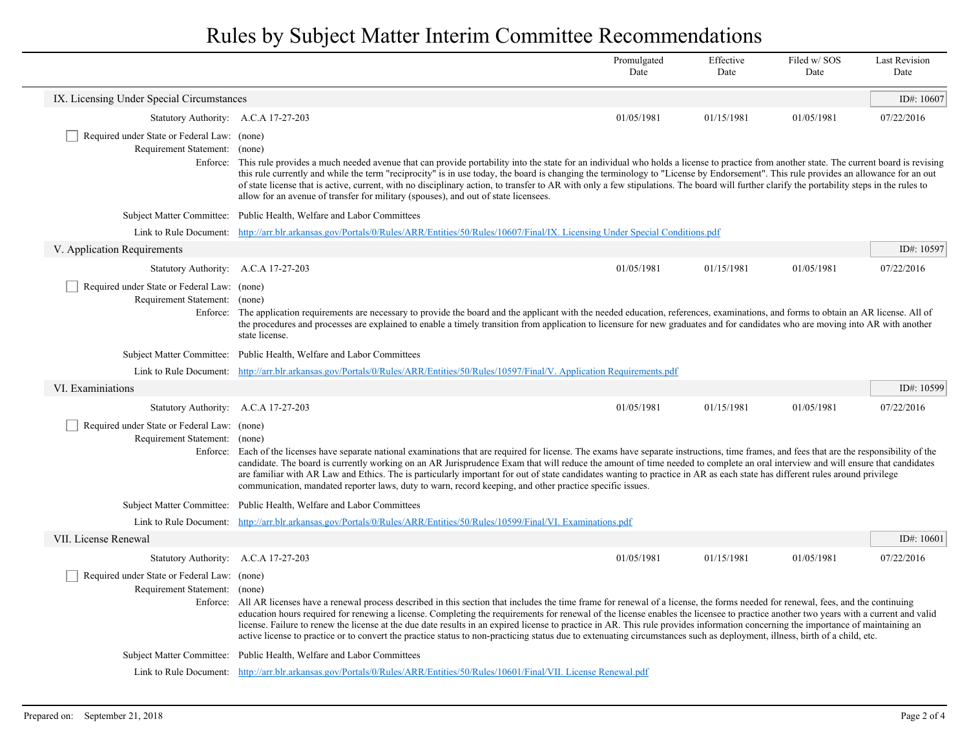|                                                                                   |                                                                                                                                                                                                                                                                                                                                                                                                                                                                                                                                                                                                                                                                                                                                                   | Promulgated<br>Date | Effective<br>Date | Filed w/SOS<br>Date | <b>Last Revision</b><br>Date |
|-----------------------------------------------------------------------------------|---------------------------------------------------------------------------------------------------------------------------------------------------------------------------------------------------------------------------------------------------------------------------------------------------------------------------------------------------------------------------------------------------------------------------------------------------------------------------------------------------------------------------------------------------------------------------------------------------------------------------------------------------------------------------------------------------------------------------------------------------|---------------------|-------------------|---------------------|------------------------------|
| IX. Licensing Under Special Circumstances                                         |                                                                                                                                                                                                                                                                                                                                                                                                                                                                                                                                                                                                                                                                                                                                                   |                     |                   |                     | ID#: $10607$                 |
| Statutory Authority: A.C.A 17-27-203                                              |                                                                                                                                                                                                                                                                                                                                                                                                                                                                                                                                                                                                                                                                                                                                                   | 01/05/1981          | 01/15/1981        | 01/05/1981          | 07/22/2016                   |
| Required under State or Federal Law: (none)<br>Requirement Statement: (none)      | Enforce: This rule provides a much needed avenue that can provide portability into the state for an individual who holds a license to practice from another state. The current board is revising<br>this rule currently and while the term "reciprocity" is in use today, the board is changing the terminology to "License by Endorsement". This rule provides an allowance for an out<br>of state license that is active, current, with no disciplinary action, to transfer to AR with only a few stipulations. The board will further clarify the portability steps in the rules to<br>allow for an avenue of transfer for military (spouses), and out of state licensees.                                                                     |                     |                   |                     |                              |
|                                                                                   | Subject Matter Committee: Public Health, Welfare and Labor Committees                                                                                                                                                                                                                                                                                                                                                                                                                                                                                                                                                                                                                                                                             |                     |                   |                     |                              |
|                                                                                   | Link to Rule Document: http://arr.blr.arkansas.gov/Portals/0/Rules/ARR/Entities/50/Rules/10607/Final/IX. Licensing Under Special Conditions.pdf                                                                                                                                                                                                                                                                                                                                                                                                                                                                                                                                                                                                   |                     |                   |                     |                              |
| V. Application Requirements                                                       |                                                                                                                                                                                                                                                                                                                                                                                                                                                                                                                                                                                                                                                                                                                                                   |                     |                   |                     | ID#: 10597                   |
| Statutory Authority: A.C.A 17-27-203                                              |                                                                                                                                                                                                                                                                                                                                                                                                                                                                                                                                                                                                                                                                                                                                                   | 01/05/1981          | 01/15/1981        | 01/05/1981          | 07/22/2016                   |
| Required under State or Federal Law: (none)<br>Requirement Statement:<br>Enforce: | (none)<br>The application requirements are necessary to provide the board and the applicant with the needed education, references, examinations, and forms to obtain an AR license. All of<br>the procedures and processes are explained to enable a timely transition from application to licensure for new graduates and for candidates who are moving into AR with another<br>state license.                                                                                                                                                                                                                                                                                                                                                   |                     |                   |                     |                              |
| <b>Subject Matter Committee:</b>                                                  | Public Health, Welfare and Labor Committees                                                                                                                                                                                                                                                                                                                                                                                                                                                                                                                                                                                                                                                                                                       |                     |                   |                     |                              |
|                                                                                   | Link to Rule Document: http://arr.blr.arkansas.gov/Portals/0/Rules/ARR/Entities/50/Rules/10597/Final/V. Application Requirements.pdf                                                                                                                                                                                                                                                                                                                                                                                                                                                                                                                                                                                                              |                     |                   |                     |                              |
| VI. Examiniations                                                                 |                                                                                                                                                                                                                                                                                                                                                                                                                                                                                                                                                                                                                                                                                                                                                   |                     |                   |                     | ID#: 10599                   |
| Statutory Authority: A.C.A 17-27-203                                              |                                                                                                                                                                                                                                                                                                                                                                                                                                                                                                                                                                                                                                                                                                                                                   | 01/05/1981          | 01/15/1981        | 01/05/1981          | 07/22/2016                   |
| Required under State or Federal Law: (none)<br>Requirement Statement: (none)      | Enforce: Each of the licenses have separate national examinations that are required for license. The exams have separate instructions, time frames, and fees that are the responsibility of the<br>candidate. The board is currently working on an AR Jurisprudence Exam that will reduce the amount of time needed to complete an oral interview and will ensure that candidates<br>are familiar with AR Law and Ethics. The is particularly important for out of state candidates wanting to practice in AR as each state has different rules around privilege<br>communication, mandated reporter laws, duty to warn, record keeping, and other practice specific issues.                                                                      |                     |                   |                     |                              |
|                                                                                   | Subject Matter Committee: Public Health, Welfare and Labor Committees                                                                                                                                                                                                                                                                                                                                                                                                                                                                                                                                                                                                                                                                             |                     |                   |                     |                              |
| Link to Rule Document:                                                            | http://arr.blr.arkansas.gov/Portals/0/Rules/ARR/Entities/50/Rules/10599/Final/VI. Examinations.pdf                                                                                                                                                                                                                                                                                                                                                                                                                                                                                                                                                                                                                                                |                     |                   |                     |                              |
| VII. License Renewal                                                              |                                                                                                                                                                                                                                                                                                                                                                                                                                                                                                                                                                                                                                                                                                                                                   |                     |                   |                     | ID#: $10601$                 |
| Statutory Authority: A.C.A 17-27-203                                              |                                                                                                                                                                                                                                                                                                                                                                                                                                                                                                                                                                                                                                                                                                                                                   | 01/05/1981          | 01/15/1981        | 01/05/1981          | 07/22/2016                   |
| Required under State or Federal Law: (none)<br>Requirement Statement: (none)      | Enforce: All AR licenses have a renewal process described in this section that includes the time frame for renewal of a license, the forms needed for renewal, fees, and the continuing<br>education hours required for renewing a license. Completing the requirements for renewal of the license enables the licensee to practice another two years with a current and valid<br>license. Failure to renew the license at the due date results in an expired license to practice in AR. This rule provides information concerning the importance of maintaining an<br>active license to practice or to convert the practice status to non-practicing status due to extenuating circumstances such as deployment, illness, birth of a child, etc. |                     |                   |                     |                              |
|                                                                                   | Subject Matter Committee: Public Health, Welfare and Labor Committees                                                                                                                                                                                                                                                                                                                                                                                                                                                                                                                                                                                                                                                                             |                     |                   |                     |                              |
|                                                                                   | Link to Rule Document: http://arr.blr.arkansas.gov/Portals/0/Rules/ARR/Entities/50/Rules/10601/Final/VII. License Renewal.pdf                                                                                                                                                                                                                                                                                                                                                                                                                                                                                                                                                                                                                     |                     |                   |                     |                              |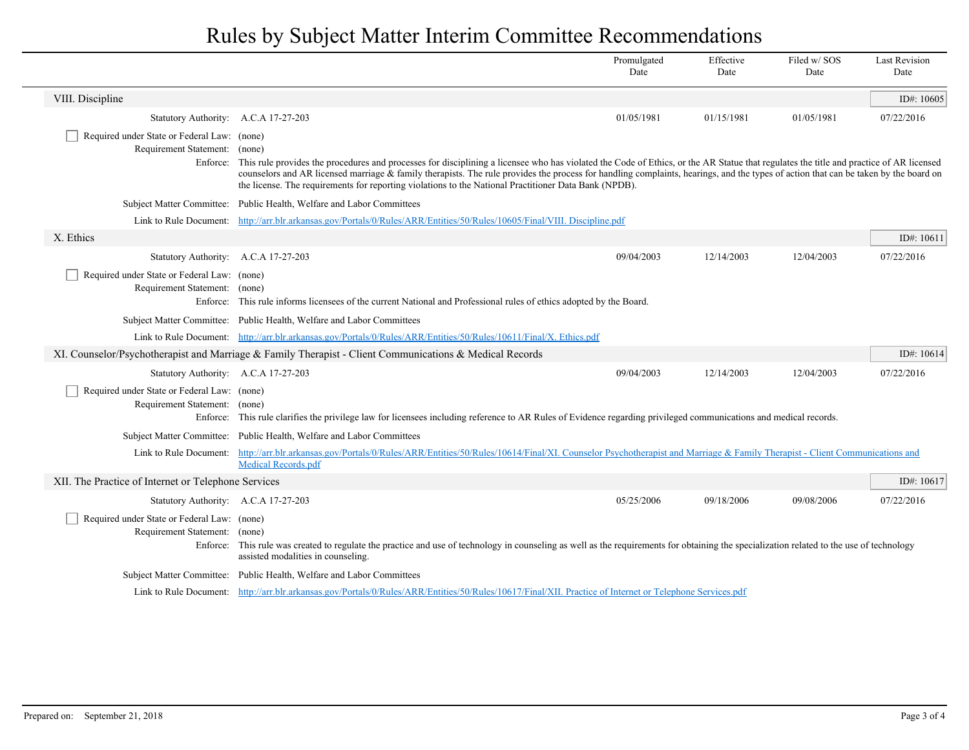|                                                                                   |                                                                                                                                                                                                                                                                                                                                                                                                                                                                                                  | Promulgated<br>Date | Effective<br>Date | Filed w/SOS<br>Date | <b>Last Revision</b><br>Date |
|-----------------------------------------------------------------------------------|--------------------------------------------------------------------------------------------------------------------------------------------------------------------------------------------------------------------------------------------------------------------------------------------------------------------------------------------------------------------------------------------------------------------------------------------------------------------------------------------------|---------------------|-------------------|---------------------|------------------------------|
| VIII. Discipline                                                                  |                                                                                                                                                                                                                                                                                                                                                                                                                                                                                                  |                     |                   |                     | ID#: $10605$                 |
| Statutory Authority: A.C.A 17-27-203                                              |                                                                                                                                                                                                                                                                                                                                                                                                                                                                                                  | 01/05/1981          | 01/15/1981        | 01/05/1981          | 07/22/2016                   |
| Required under State or Federal Law: (none)<br>Requirement Statement:<br>Enforce: | (none)<br>This rule provides the procedures and processes for disciplining a licensee who has violated the Code of Ethics, or the AR Statue that regulates the title and practice of AR licensed<br>counselors and AR licensed marriage & family therapists. The rule provides the process for handling complaints, hearings, and the types of action that can be taken by the board on<br>the license. The requirements for reporting violations to the National Practitioner Data Bank (NPDB). |                     |                   |                     |                              |
|                                                                                   | Subject Matter Committee: Public Health, Welfare and Labor Committees                                                                                                                                                                                                                                                                                                                                                                                                                            |                     |                   |                     |                              |
|                                                                                   | Link to Rule Document: http://arr.blr.arkansas.gov/Portals/0/Rules/ARR/Entities/50/Rules/10605/Final/VIII. Discipline.pdf                                                                                                                                                                                                                                                                                                                                                                        |                     |                   |                     |                              |
| X. Ethics                                                                         |                                                                                                                                                                                                                                                                                                                                                                                                                                                                                                  |                     |                   |                     | ID#: 10611                   |
| Statutory Authority: A.C.A 17-27-203                                              |                                                                                                                                                                                                                                                                                                                                                                                                                                                                                                  | 09/04/2003          | 12/14/2003        | 12/04/2003          | 07/22/2016                   |
| Required under State or Federal Law: (none)<br>Requirement Statement: (none)      | Enforce: This rule informs licensees of the current National and Professional rules of ethics adopted by the Board.                                                                                                                                                                                                                                                                                                                                                                              |                     |                   |                     |                              |
|                                                                                   | Subject Matter Committee: Public Health, Welfare and Labor Committees                                                                                                                                                                                                                                                                                                                                                                                                                            |                     |                   |                     |                              |
|                                                                                   | Link to Rule Document: http://arr.blr.arkansas.gov/Portals/0/Rules/ARR/Entities/50/Rules/10611/Final/X. Ethics.pdf                                                                                                                                                                                                                                                                                                                                                                               |                     |                   |                     |                              |
|                                                                                   | XI. Counselor/Psychotherapist and Marriage & Family Therapist - Client Communications & Medical Records                                                                                                                                                                                                                                                                                                                                                                                          |                     |                   |                     | ID#: $10614$                 |
| Statutory Authority: A.C.A 17-27-203                                              |                                                                                                                                                                                                                                                                                                                                                                                                                                                                                                  | 09/04/2003          | 12/14/2003        | 12/04/2003          | 07/22/2016                   |
| Required under State or Federal Law: (none)<br>Requirement Statement: (none)      | Enforce: This rule clarifies the privilege law for licensees including reference to AR Rules of Evidence regarding privileged communications and medical records.                                                                                                                                                                                                                                                                                                                                |                     |                   |                     |                              |
|                                                                                   | Subject Matter Committee: Public Health, Welfare and Labor Committees                                                                                                                                                                                                                                                                                                                                                                                                                            |                     |                   |                     |                              |
|                                                                                   | Link to Rule Document: http://arr.blr.arkansas.gov/Portals/0/Rules/ARR/Entities/50/Rules/10614/Final/XI. Counselor Psychotherapist and Marriage & Family Therapist - Client Communications and<br>Medical Records.pdf                                                                                                                                                                                                                                                                            |                     |                   |                     |                              |
| XII. The Practice of Internet or Telephone Services                               |                                                                                                                                                                                                                                                                                                                                                                                                                                                                                                  |                     |                   |                     | ID#: $10617$                 |
| Statutory Authority: A.C.A 17-27-203                                              |                                                                                                                                                                                                                                                                                                                                                                                                                                                                                                  | 05/25/2006          | 09/18/2006        | 09/08/2006          | 07/22/2016                   |
| Required under State or Federal Law: (none)<br>Requirement Statement:             | (none)<br>Enforce: This rule was created to regulate the practice and use of technology in counseling as well as the requirements for obtaining the specialization related to the use of technology<br>assisted modalities in counseling.                                                                                                                                                                                                                                                        |                     |                   |                     |                              |
|                                                                                   | Subject Matter Committee: Public Health, Welfare and Labor Committees                                                                                                                                                                                                                                                                                                                                                                                                                            |                     |                   |                     |                              |
|                                                                                   | Link to Rule Document: http://arr.blr.arkansas.gov/Portals/0/Rules/ARR/Entities/50/Rules/10617/Final/XII. Practice of Internet or Telephone Services.pdf                                                                                                                                                                                                                                                                                                                                         |                     |                   |                     |                              |